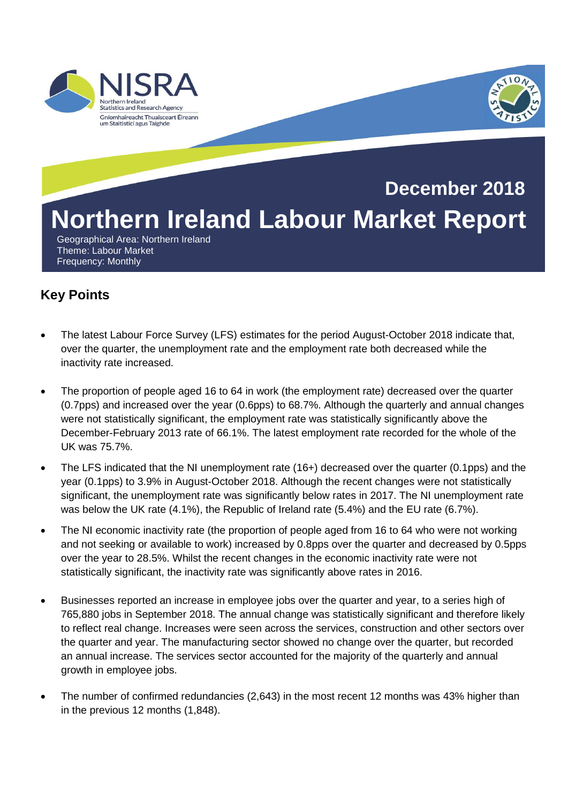

# **Northern Ireland Labour Market Report December 2018**

 Geographical Area: Northern Ireland Theme: Labour Market Frequency: Monthly

# **Key Points**

- The latest Labour Force Survey (LFS) estimates for the period August-October 2018 indicate that, over the quarter, the unemployment rate and the employment rate both decreased while the inactivity rate increased.
- The proportion of people aged 16 to 64 in work (the employment rate) decreased over the quarter (0.7pps) and increased over the year (0.6pps) to 68.7%. Although the quarterly and annual changes were not statistically significant, the employment rate was statistically significantly above the December-February 2013 rate of 66.1%. The latest employment rate recorded for the whole of the UK was 75.7%.
- The LFS indicated that the NI unemployment rate (16+) decreased over the quarter (0.1pps) and the year (0.1pps) to 3.9% in August-October 2018. Although the recent changes were not statistically significant, the unemployment rate was significantly below rates in 2017. The NI unemployment rate was below the UK rate (4.1%), the Republic of Ireland rate (5.4%) and the EU rate (6.7%).
- The NI economic inactivity rate (the proportion of people aged from 16 to 64 who were not working and not seeking or available to work) increased by 0.8pps over the quarter and decreased by 0.5pps over the year to 28.5%. Whilst the recent changes in the economic inactivity rate were not statistically significant, the inactivity rate was significantly above rates in 2016.
- Businesses reported an increase in employee jobs over the quarter and year, to a series high of 765,880 jobs in September 2018. The annual change was statistically significant and therefore likely to reflect real change. Increases were seen across the services, construction and other sectors over the quarter and year. The manufacturing sector showed no change over the quarter, but recorded an annual increase. The services sector accounted for the majority of the quarterly and annual growth in employee jobs.
- The number of confirmed redundancies (2,643) in the most recent 12 months was 43% higher than in the previous 12 months (1,848).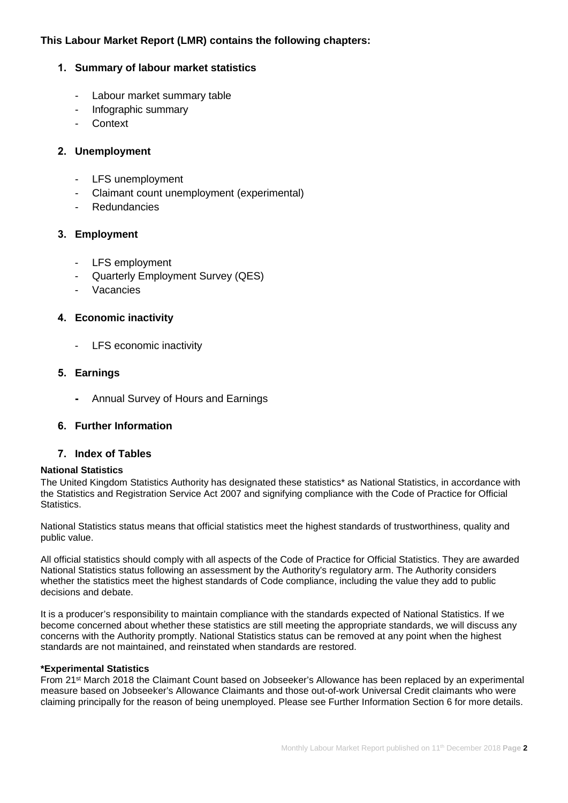### **This Labour Market Report (LMR) contains the following chapters:**

#### **1. Summary of labour market statistics**

- Labour market summary table
- Infographic summary
- **Context**

#### **2. Unemployment**

- LFS unemployment
- Claimant count unemployment (experimental)
- **Redundancies**

#### **3. Employment**

- LFS employment
- Quarterly Employment Survey (QES)
- **Vacancies**

#### **4. Economic inactivity**

- LFS economic inactivity

#### **5. Earnings**

**-** Annual Survey of Hours and Earnings

#### **6. Further Information**

#### **7. Index of Tables**

#### **National Statistics**

The United Kingdom Statistics Authority has designated these statistics\* as National Statistics, in accordance with the Statistics and Registration Service Act 2007 and signifying compliance with the Code of Practice for Official Statistics.

National Statistics status means that official statistics meet the highest standards of trustworthiness, quality and public value.

All official statistics should comply with all aspects of the Code of Practice for Official Statistics. They are awarded National Statistics status following an assessment by the Authority's regulatory arm. The Authority considers whether the statistics meet the highest standards of Code compliance, including the value they add to public decisions and debate.

It is a producer's responsibility to maintain compliance with the standards expected of National Statistics. If we become concerned about whether these statistics are still meeting the appropriate standards, we will discuss any concerns with the Authority promptly. National Statistics status can be removed at any point when the highest standards are not maintained, and reinstated when standards are restored.

#### **\*Experimental Statistics**

From 21st March 2018 the Claimant Count based on Jobseeker's Allowance has been replaced by an experimental measure based on Jobseeker's Allowance Claimants and those out-of-work Universal Credit claimants who were claiming principally for the reason of being unemployed. Please see Further Information Section 6 for more details.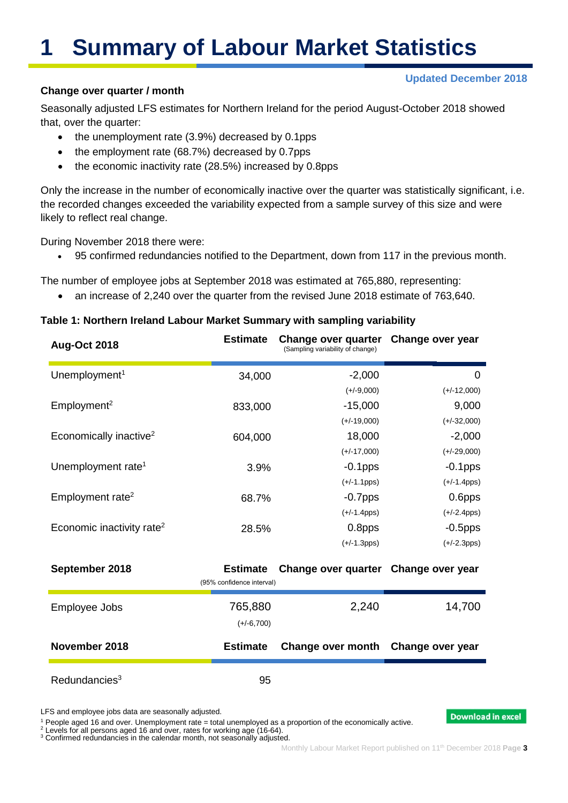# **1 Summary of Labour Market Statistics**

#### **Updated December 2018**

#### **Change over quarter / month**

Seasonally adjusted LFS estimates for Northern Ireland for the period August-October 2018 showed that, over the quarter:

- the unemployment rate (3.9%) decreased by 0.1pps
- the employment rate (68.7%) decreased by 0.7pps
- the economic inactivity rate (28.5%) increased by 0.8pps

Only the increase in the number of economically inactive over the quarter was statistically significant, i.e. the recorded changes exceeded the variability expected from a sample survey of this size and were likely to reflect real change.

During November 2018 there were:

• 95 confirmed redundancies notified to the Department, down from 117 in the previous month.

The number of employee jobs at September 2018 was estimated at 765,880, representing:

• an increase of 2,240 over the quarter from the revised June 2018 estimate of 763,640.

#### **Table 1: Northern Ireland Labour Market Summary with sampling variability**

| <b>Aug-Oct 2018</b>                   | <b>Estimate</b>                              | Change over quarter<br>(Sampling variability of change) | Change over year                           |
|---------------------------------------|----------------------------------------------|---------------------------------------------------------|--------------------------------------------|
| Unemployment <sup>1</sup>             | 34,000                                       | $-2,000$                                                | 0                                          |
| Employment <sup>2</sup>               | 833,000                                      | $(+/-9,000)$<br>$-15,000$                               | $(+/-12,000)$<br>9,000                     |
| Economically inactive <sup>2</sup>    | 604,000                                      | $(+/-19,000)$<br>18,000<br>$(+/-17,000)$                | $(+/-32,000)$<br>$-2,000$<br>$(+/-29,000)$ |
| Unemployment rate <sup>1</sup>        | 3.9%                                         | $-0.1$ pps<br>$(+/-1.1pps)$                             | $-0.1$ pps<br>$(+/-1.4$ pps)               |
| Employment rate <sup>2</sup>          | 68.7%                                        | $-0.7$ pps<br>$(+/-1.4pps)$                             | 0.6pps<br>$(+/-2.4pps)$                    |
| Economic inactivity rate <sup>2</sup> | 28.5%                                        | 0.8pps<br>$(+/-1.3pps)$                                 | $-0.5$ pps<br>$(+/-2.3pps)$                |
| September 2018                        | <b>Estimate</b><br>(95% confidence interval) | Change over quarter Change over year                    |                                            |
| Employee Jobs                         | 765,880<br>$(+/-6,700)$                      | 2,240                                                   | 14,700                                     |
| November 2018                         | <b>Estimate</b>                              | Change over month                                       | Change over year                           |
| Redundancies <sup>3</sup>             | 95                                           |                                                         |                                            |

LFS and employee jobs data are seasonally adjusted.

<sup>1</sup> People aged 16 and over. Unemployment rate = total unemployed as a proportion of the economically active.

<sup>2</sup> Levels for all persons aged 16 and over, rates for working age (16-64).

<sup>3</sup> Confirmed redundancies in the calendar month, not seasonally adjusted.

**Download in excel**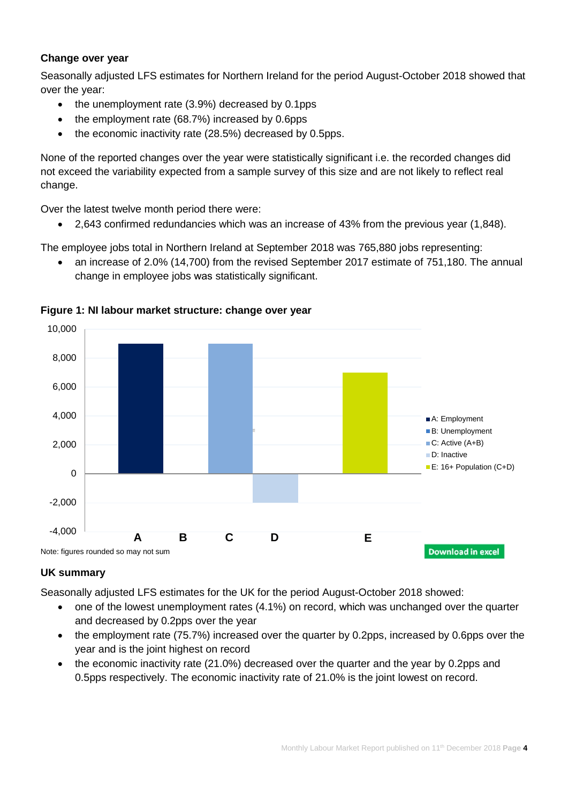# **Change over year**

Seasonally adjusted LFS estimates for Northern Ireland for the period August-October 2018 showed that over the year:

- the unemployment rate (3.9%) decreased by 0.1pps
- the employment rate (68.7%) increased by 0.6pps
- the economic inactivity rate (28.5%) decreased by 0.5pps.

None of the reported changes over the year were statistically significant i.e. the recorded changes did not exceed the variability expected from a sample survey of this size and are not likely to reflect real change.

Over the latest twelve month period there were:

• 2,643 confirmed redundancies which was an increase of 43% from the previous year (1,848).

The employee jobs total in Northern Ireland at September 2018 was 765,880 jobs representing:

• an increase of 2.0% (14,700) from the revised September 2017 estimate of 751,180. The annual change in employee jobs was statistically significant.



#### **Figure 1: NI labour market structure: change over year**

#### **UK summary**

Seasonally adjusted LFS estimates for the UK for the period August-October 2018 showed:

- one of the lowest unemployment rates (4.1%) on record, which was unchanged over the quarter and decreased by 0.2pps over the year
- the employment rate (75.7%) increased over the quarter by 0.2pps, increased by 0.6pps over the year and is the joint highest on record
- the economic inactivity rate (21.0%) decreased over the quarter and the year by 0.2pps and 0.5pps respectively. The economic inactivity rate of 21.0% is the joint lowest on record.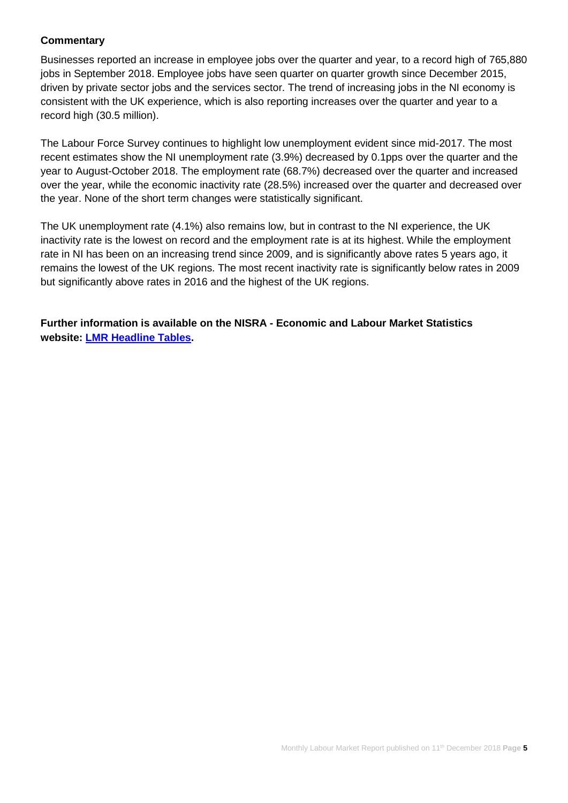#### **Commentary**

Businesses reported an increase in employee jobs over the quarter and year, to a record high of 765,880 jobs in September 2018. Employee jobs have seen quarter on quarter growth since December 2015, driven by private sector jobs and the services sector. The trend of increasing jobs in the NI economy is consistent with the UK experience, which is also reporting increases over the quarter and year to a record high (30.5 million).

The Labour Force Survey continues to highlight low unemployment evident since mid-2017. The most recent estimates show the NI unemployment rate (3.9%) decreased by 0.1pps over the quarter and the year to August-October 2018. The employment rate (68.7%) decreased over the quarter and increased over the year, while the economic inactivity rate (28.5%) increased over the quarter and decreased over the year. None of the short term changes were statistically significant.

The UK unemployment rate (4.1%) also remains low, but in contrast to the NI experience, the UK inactivity rate is the lowest on record and the employment rate is at its highest. While the employment rate in NI has been on an increasing trend since 2009, and is significantly above rates 5 years ago, it remains the lowest of the UK regions. The most recent inactivity rate is significantly below rates in 2009 but significantly above rates in 2016 and the highest of the UK regions.

**Further information is available on the NISRA - Economic and Labour Market Statistics website: [LMR Headline Tables.](https://www.nisra.gov.uk/system/files/statistics/headline-lmr-tables-october-2018.XLSX)**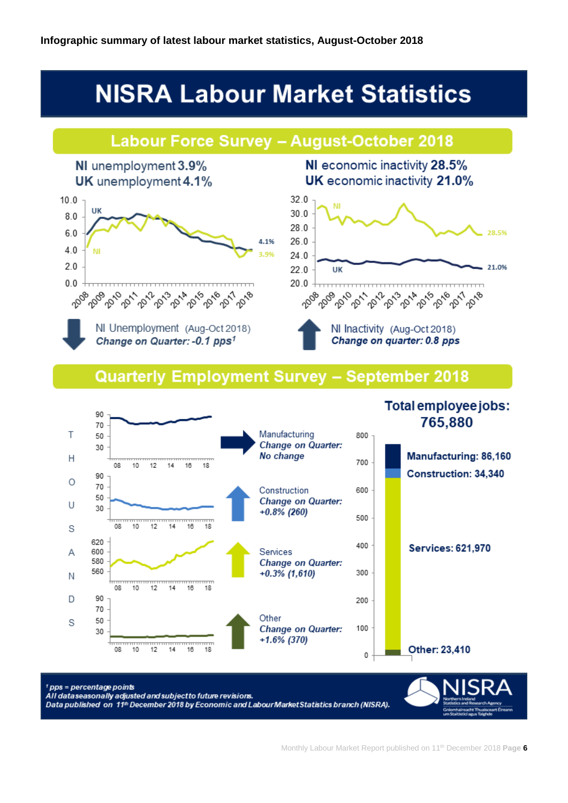# **NISRA Labour Market Statistics**

# **Labour Force Survey - August-October 2018**



NI economic inactivity 28.5% UK economic inactivity 21.0%



# Quarterly Employment Survey - September 2018

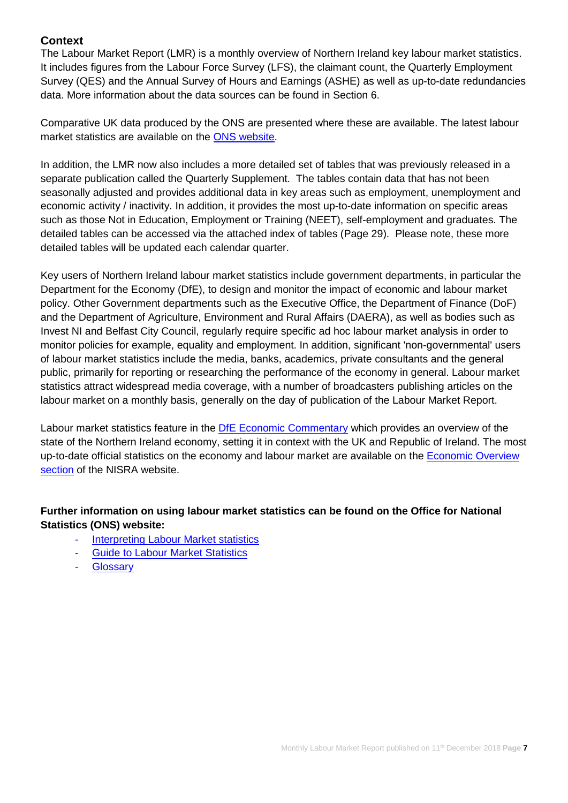# **Context**

The Labour Market Report (LMR) is a monthly overview of Northern Ireland key labour market statistics. It includes figures from the Labour Force Survey (LFS), the claimant count, the Quarterly Employment Survey (QES) and the Annual Survey of Hours and Earnings (ASHE) as well as up-to-date redundancies data. More information about the data sources can be found in Section 6.

Comparative UK data produced by the ONS are presented where these are available. The latest labour market statistics are available on the [ONS website.](http://www.ons.gov.uk/ons/taxonomy/index.html?nscl=Labour+Market)

In addition, the LMR now also includes a more detailed set of tables that was previously released in a separate publication called the Quarterly Supplement. The tables contain data that has not been seasonally adjusted and provides additional data in key areas such as employment, unemployment and economic activity / inactivity. In addition, it provides the most up-to-date information on specific areas such as those Not in Education, Employment or Training (NEET), self-employment and graduates. The detailed tables can be accessed via the attached index of tables (Page 29). Please note, these more detailed tables will be updated each calendar quarter.

Key users of Northern Ireland labour market statistics include government departments, in particular the Department for the Economy (DfE), to design and monitor the impact of economic and labour market policy. Other Government departments such as the Executive Office, the Department of Finance (DoF) and the Department of Agriculture, Environment and Rural Affairs (DAERA), as well as bodies such as Invest NI and Belfast City Council, regularly require specific ad hoc labour market analysis in order to monitor policies for example, equality and employment. In addition, significant 'non-governmental' users of labour market statistics include the media, banks, academics, private consultants and the general public, primarily for reporting or researching the performance of the economy in general. Labour market statistics attract widespread media coverage, with a number of broadcasters publishing articles on the labour market on a monthly basis, generally on the day of publication of the Labour Market Report.

Labour market statistics feature in the [DfE Economic Commentary](https://www.economy-ni.gov.uk/publications/dfe-economic-commentary) which provides an overview of the state of the Northern Ireland economy, setting it in context with the UK and Republic of Ireland. The most up-to-date official statistics on the economy and labour market are available on the [Economic Overview](https://www.nisra.gov.uk/statistics/nisra-economic-and-labour-market-statistics-elms/economic-overview)  [section](https://www.nisra.gov.uk/statistics/nisra-economic-and-labour-market-statistics-elms/economic-overview) of the NISRA website.

# **Further information on using labour market statistics can be found on the Office for National Statistics (ONS) website:**

- **[Interpreting Labour Market statistics](http://www.ons.gov.uk/ons/rel/lms/labour-market-guidance/interpreting-labour-market-statistics/interpreting-lm-statistics.html)**
- [Guide to Labour Market Statistics](https://www.ons.gov.uk/employmentandlabourmarket/peopleinwork/employmentandemployeetypes/methodologies/aguidetolabourmarketstatistics)
- **[Glossary](https://www.ons.gov.uk/employmentandlabourmarket/peopleinwork/employmentandemployeetypes/methodologies/aguidetolabourmarketstatistics#glossary)**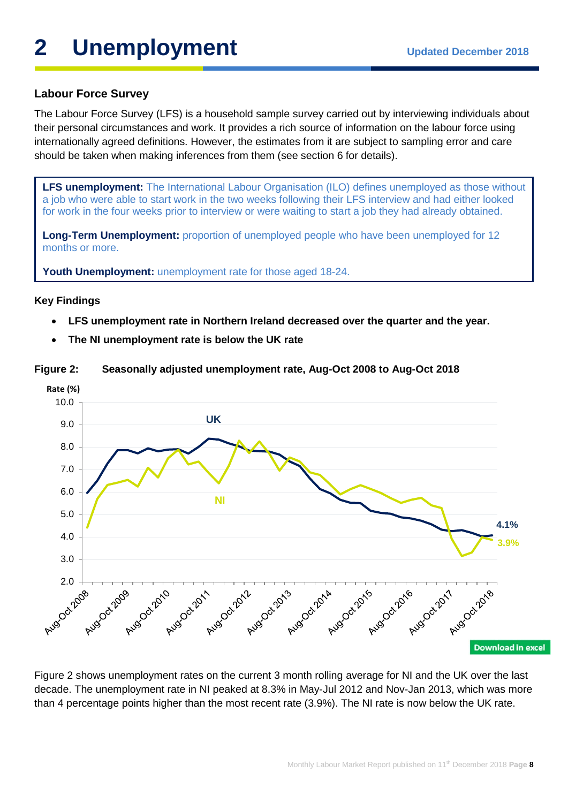# **2** Unemployment Updated December 2018

# **Labour Force Survey**

The Labour Force Survey (LFS) is a household sample survey carried out by interviewing individuals about their personal circumstances and work. It provides a rich source of information on the labour force using internationally agreed definitions. However, the estimates from it are subject to sampling error and care should be taken when making inferences from them (see section 6 for details).

**LFS unemployment:** The International Labour Organisation (ILO) defines unemployed as those without a job who were able to start work in the two weeks following their LFS interview and had either looked for work in the four weeks prior to interview or were waiting to start a job they had already obtained.

**Long-Term Unemployment:** proportion of unemployed people who have been unemployed for 12 months or more.

**Youth Unemployment:** unemployment rate for those aged 18-24.

#### **Key Findings**

- **LFS unemployment rate in Northern Ireland decreased over the quarter and the year.**
- **The NI unemployment rate is below the UK rate**

**Figure 2: Seasonally adjusted unemployment rate, Aug-Oct 2008 to Aug-Oct 2018** 



Figure 2 shows unemployment rates on the current 3 month rolling average for NI and the UK over the last decade. The unemployment rate in NI peaked at 8.3% in May-Jul 2012 and Nov-Jan 2013, which was more than 4 percentage points higher than the most recent rate (3.9%). The NI rate is now below the UK rate.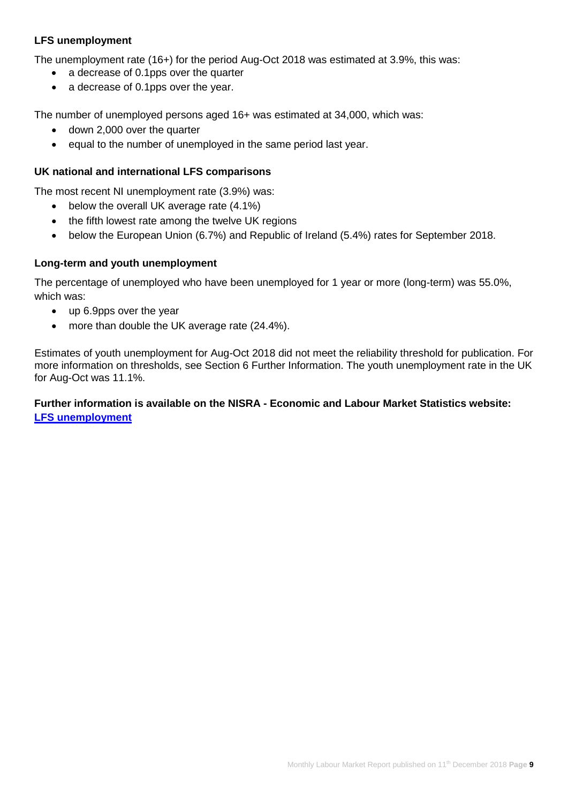## **LFS unemployment**

The unemployment rate (16+) for the period Aug-Oct 2018 was estimated at 3.9%, this was:

- a decrease of 0.1pps over the quarter
- a decrease of 0.1pps over the year.

The number of unemployed persons aged 16+ was estimated at 34,000, which was:

- down 2,000 over the quarter
- equal to the number of unemployed in the same period last year.

#### **UK national and international LFS comparisons**

The most recent NI unemployment rate (3.9%) was:

- below the overall UK average rate (4.1%)
- the fifth lowest rate among the twelve UK regions
- below the European Union (6.7%) and Republic of Ireland (5.4%) rates for September 2018.

#### **Long-term and youth unemployment**

The percentage of unemployed who have been unemployed for 1 year or more (long-term) was 55.0%, which was:

- up 6.9pps over the year
- more than double the UK average rate (24.4%).

Estimates of youth unemployment for Aug-Oct 2018 did not meet the reliability threshold for publication. For more information on thresholds, see Section 6 Further Information. The youth unemployment rate in the UK for Aug-Oct was 11.1%.

## **Further information is available on the NISRA - Economic and Labour Market Statistics website: [LFS unemployment](https://www.nisra.gov.uk/statistics/labour-market-and-social-welfare/labour-force-survey)**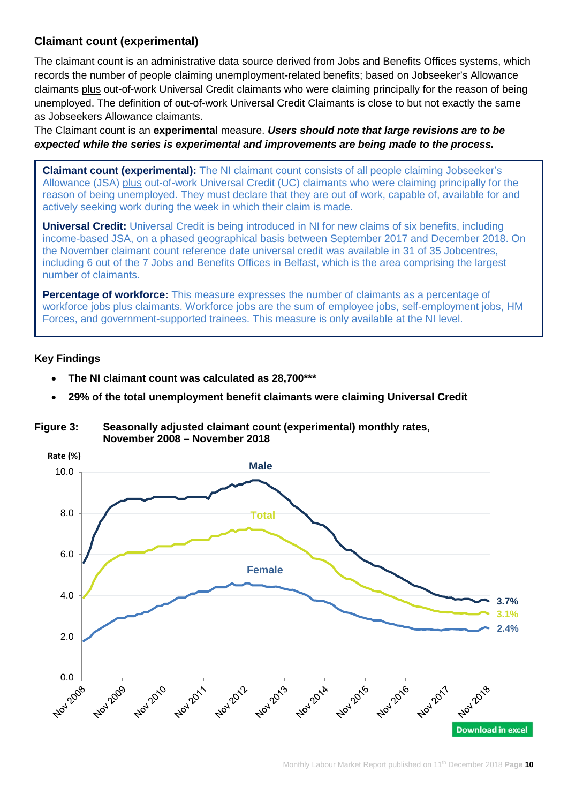# **Claimant count (experimental)**

The claimant count is an administrative data source derived from Jobs and Benefits Offices systems, which records the number of people claiming unemployment-related benefits; based on Jobseeker's Allowance claimants plus out-of-work Universal Credit claimants who were claiming principally for the reason of being unemployed. The definition of out-of-work Universal Credit Claimants is close to but not exactly the same as Jobseekers Allowance claimants.

The Claimant count is an **experimental** measure. *Users should note that large revisions are to be expected while the series is experimental and improvements are being made to the process.*

**Claimant count (experimental):** The NI claimant count consists of all people claiming Jobseeker's Allowance (JSA) plus out-of-work Universal Credit (UC) claimants who were claiming principally for the reason of being unemployed. They must declare that they are out of work, capable of, available for and actively seeking work during the week in which their claim is made.

**Universal Credit:** Universal Credit is being introduced in NI for new claims of six benefits, including income-based JSA, on a phased geographical basis between September 2017 and December 2018. On the November claimant count reference date universal credit was available in 31 of 35 Jobcentres, including 6 out of the 7 Jobs and Benefits Offices in Belfast, which is the area comprising the largest number of claimants.

**Percentage of workforce:** This measure expresses the number of claimants as a percentage of workforce jobs plus claimants. Workforce jobs are the sum of employee jobs, self-employment jobs, HM Forces, and government-supported trainees. This measure is only available at the NI level.

# **Key Findings**

- **The NI claimant count was calculated as 28,700\*\*\***
- **29% of the total unemployment benefit claimants were claiming Universal Credit**

#### **Figure 3: Seasonally adjusted claimant count (experimental) monthly rates, November 2008 – November 2018**

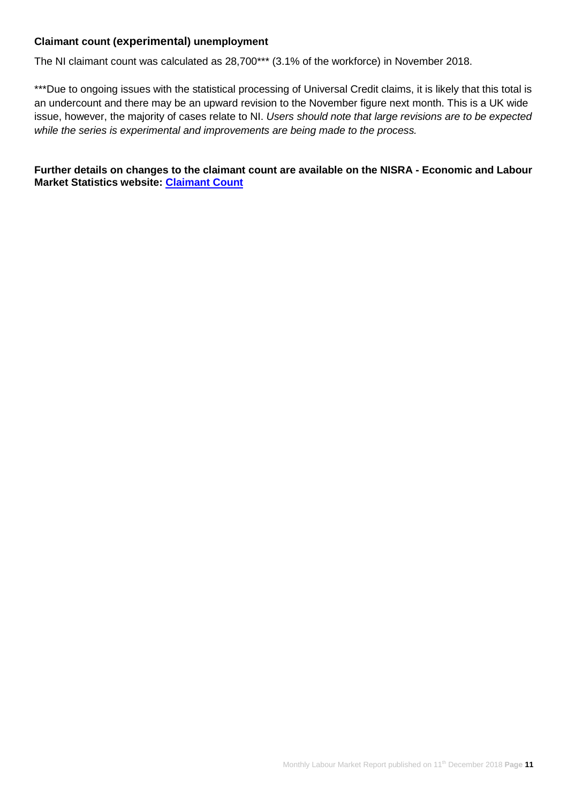#### **Claimant count (experimental) unemployment**

The NI claimant count was calculated as 28,700\*\*\* (3.1% of the workforce) in November 2018.

\*\*\*Due to ongoing issues with the statistical processing of Universal Credit claims, it is likely that this total is an undercount and there may be an upward revision to the November figure next month. This is a UK wide issue, however, the majority of cases relate to NI. *Users should note that large revisions are to be expected while the series is experimental and improvements are being made to the process.*

**Further details on changes to the claimant count are available on the NISRA - Economic and Labour Market Statistics website: [Claimant Count](https://www.nisra.gov.uk/statistics/labour-market-and-social-welfare/claimant-count)**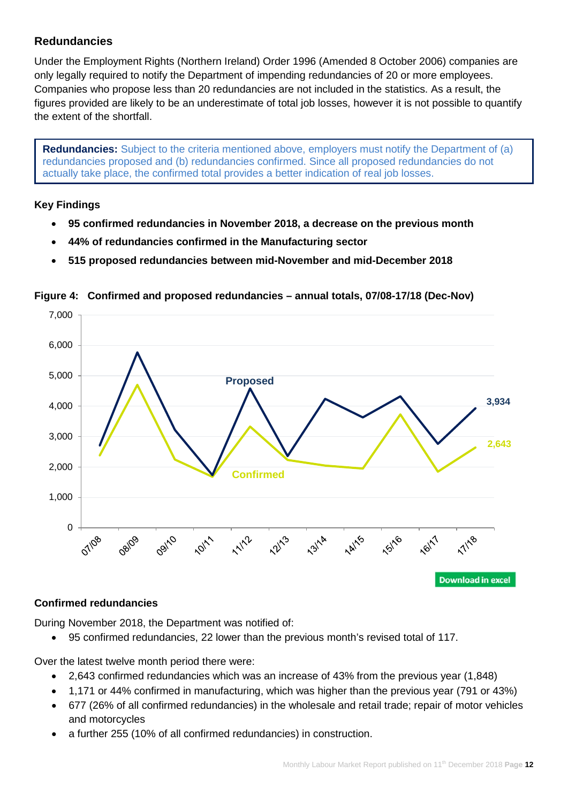# **Redundancies**

Under the Employment Rights (Northern Ireland) Order 1996 (Amended 8 October 2006) companies are only legally required to notify the Department of impending redundancies of 20 or more employees. Companies who propose less than 20 redundancies are not included in the statistics. As a result, the figures provided are likely to be an underestimate of total job losses, however it is not possible to quantify the extent of the shortfall.

**Redundancies:** Subject to the criteria mentioned above, employers must notify the Department of (a) redundancies proposed and (b) redundancies confirmed. Since all proposed redundancies do not actually take place, the confirmed total provides a better indication of real job losses.

# **Key Findings**

- **95 confirmed redundancies in November 2018, a decrease on the previous month**
- **44% of redundancies confirmed in the Manufacturing sector**
- **515 proposed redundancies between mid-November and mid-December 2018**



# **Figure 4: Confirmed and proposed redundancies – annual totals, 07/08-17/18 (Dec-Nov)**

# **Confirmed redundancies**

During November 2018, the Department was notified of:

• 95 confirmed redundancies, 22 lower than the previous month's revised total of 117.

Over the latest twelve month period there were:

- 2,643 confirmed redundancies which was an increase of 43% from the previous year (1,848)
- 1,171 or 44% confirmed in manufacturing, which was higher than the previous year (791 or 43%)
- 677 (26% of all confirmed redundancies) in the wholesale and retail trade; repair of motor vehicles and motorcycles
- a further 255 (10% of all confirmed redundancies) in construction.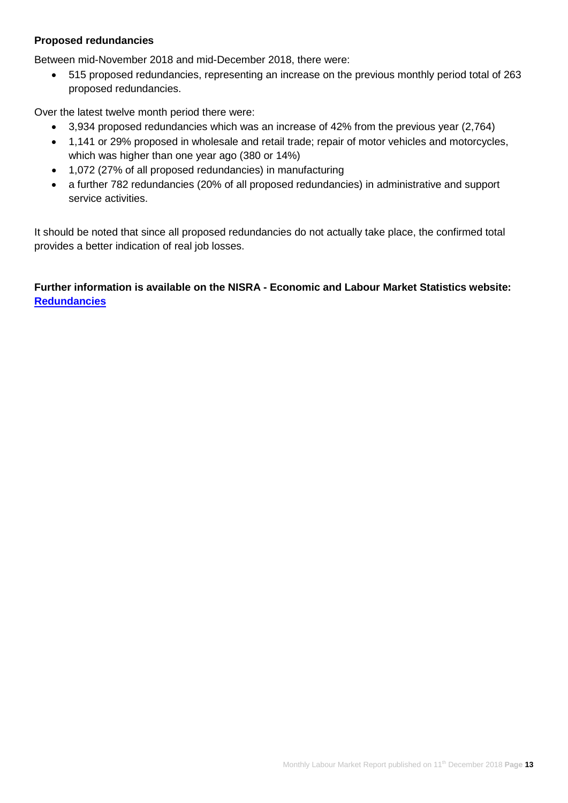#### **Proposed redundancies**

Between mid-November 2018 and mid-December 2018, there were:

• 515 proposed redundancies, representing an increase on the previous monthly period total of 263 proposed redundancies.

Over the latest twelve month period there were:

- 3,934 proposed redundancies which was an increase of 42% from the previous year (2,764)
- 1,141 or 29% proposed in wholesale and retail trade; repair of motor vehicles and motorcycles, which was higher than one year ago (380 or 14%)
- 1,072 (27% of all proposed redundancies) in manufacturing
- a further 782 redundancies (20% of all proposed redundancies) in administrative and support service activities.

It should be noted that since all proposed redundancies do not actually take place, the confirmed total provides a better indication of real job losses.

**Further information is available on the NISRA - Economic and Labour Market Statistics website: [Redundancies](https://www.nisra.gov.uk/statistics/labour-market-and-social-welfare/redundancies)**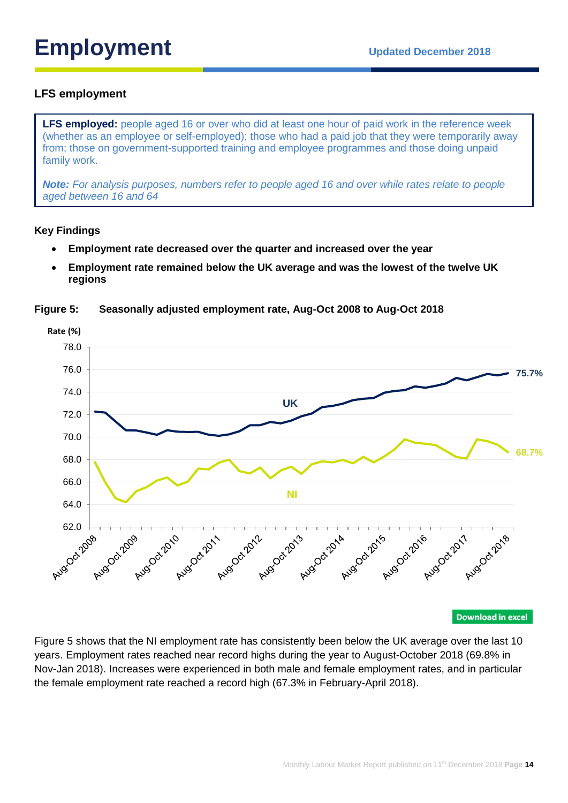# **Employment** Updated December 2018

# **LFS employment**

**LFS employed:** people aged 16 or over who did at least one hour of paid work in the reference week (whether as an employee or self-employed); those who had a paid job that they were temporarily away from; those on government-supported training and employee programmes and those doing unpaid family work.

*Note: For analysis purposes, numbers refer to people aged 16 and over while rates relate to people aged between 16 and 64*

#### **Key Findings**

- **Employment rate decreased over the quarter and increased over the year**
- **Employment rate remained below the UK average and was the lowest of the twelve UK regions**

**Rate (%)** 78.0 76.0 **75.7%** 74.0 **UK** 72.0 70.0 **68.7%** 68.0 66.0 **NI** 64.0 Ruso Cityos Augocznola Augoct-2019 Augoct-2011 Augoct-2012 Augoct-2014 Augoct-2019 Augoct-2017

**Figure 5: Seasonally adjusted employment rate, Aug-Oct 2008 to Aug-Oct 2018**

**Download in excel** 

Figure 5 shows that the NI employment rate has consistently been below the UK average over the last 10 years. Employment rates reached near record highs during the year to August-October 2018 (69.8% in Nov-Jan 2018). Increases were experienced in both male and female employment rates, and in particular the female employment rate reached a record high (67.3% in February-April 2018).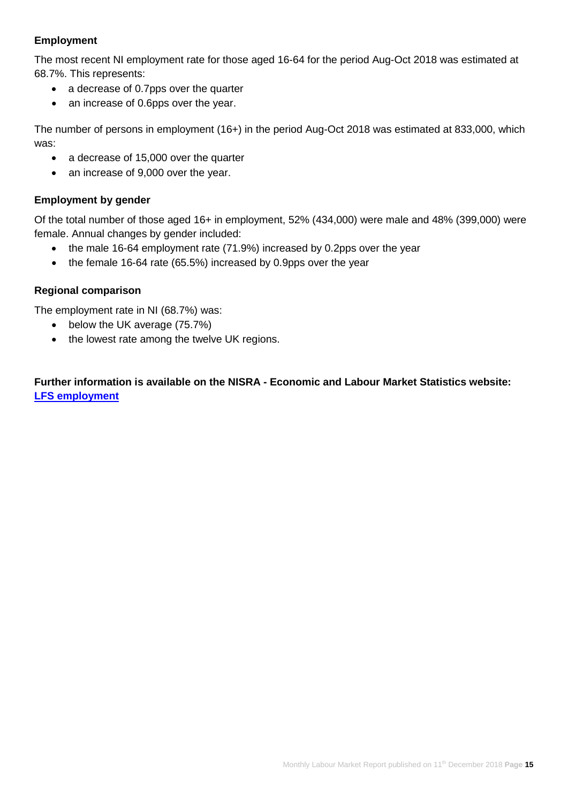# **Employment**

The most recent NI employment rate for those aged 16-64 for the period Aug-Oct 2018 was estimated at 68.7%. This represents:

- a decrease of 0.7pps over the quarter
- an increase of 0.6pps over the year.

The number of persons in employment (16+) in the period Aug-Oct 2018 was estimated at 833,000, which was:

- a decrease of 15,000 over the quarter
- an increase of 9,000 over the year.

#### **Employment by gender**

Of the total number of those aged 16+ in employment, 52% (434,000) were male and 48% (399,000) were female. Annual changes by gender included:

- the male 16-64 employment rate (71.9%) increased by 0.2pps over the year
- the female 16-64 rate (65.5%) increased by 0.9pps over the year

#### **Regional comparison**

The employment rate in NI (68.7%) was:

- below the UK average (75.7%)
- the lowest rate among the twelve UK regions.

**Further information is available on the NISRA - Economic and Labour Market Statistics website: [LFS employment](https://www.nisra.gov.uk/statistics/labour-market-and-social-welfare/labour-force-survey)**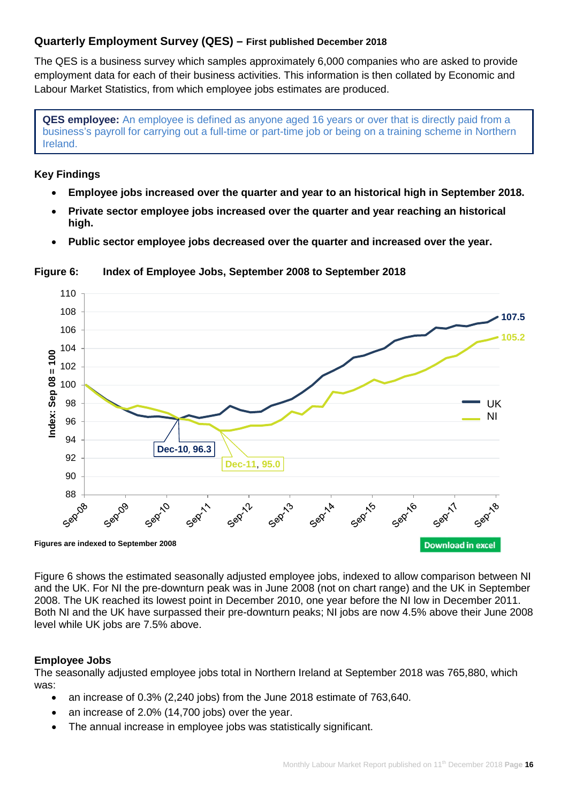# **Quarterly Employment Survey (QES) – First published December 2018**

The QES is a business survey which samples approximately 6,000 companies who are asked to provide employment data for each of their business activities. This information is then collated by Economic and Labour Market Statistics, from which employee jobs estimates are produced.

**QES employee:** An employee is defined as anyone aged 16 years or over that is directly paid from a business's payroll for carrying out a full-time or part-time job or being on a training scheme in Northern Ireland.

#### **Key Findings**

- **Employee jobs increased over the quarter and year to an historical high in September 2018.**
- **Private sector employee jobs increased over the quarter and year reaching an historical high.**
- **Public sector employee jobs decreased over the quarter and increased over the year.**



**Figure 6: Index of Employee Jobs, September 2008 to September 2018**

Figure 6 shows the estimated seasonally adjusted employee jobs, indexed to allow comparison between NI and the UK. For NI the pre-downturn peak was in June 2008 (not on chart range) and the UK in September 2008. The UK reached its lowest point in December 2010, one year before the NI low in December 2011. Both NI and the UK have surpassed their pre-downturn peaks; NI jobs are now 4.5% above their June 2008 level while UK jobs are 7.5% above.

#### **Employee Jobs**

The seasonally adjusted employee jobs total in Northern Ireland at September 2018 was 765,880, which was:

- an increase of 0.3% (2,240 jobs) from the June 2018 estimate of 763,640.
- an increase of 2.0% (14,700 jobs) over the year.
- The annual increase in employee jobs was statistically significant.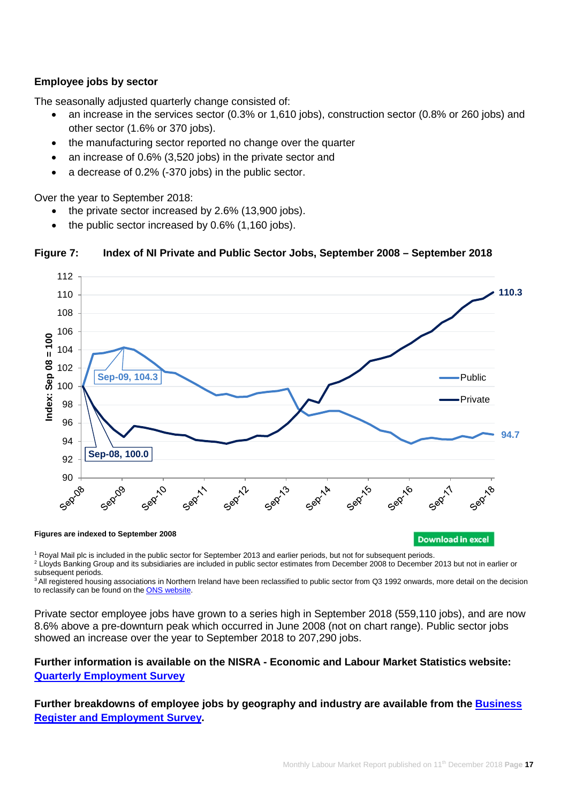### **Employee jobs by sector**

The seasonally adjusted quarterly change consisted of:

- an increase in the services sector (0.3% or 1,610 jobs), construction sector (0.8% or 260 jobs) and other sector (1.6% or 370 jobs).
- the manufacturing sector reported no change over the quarter
- an increase of 0.6% (3,520 jobs) in the private sector and
- a decrease of 0.2% (-370 jobs) in the public sector.

Over the year to September 2018:

- the private sector increased by 2.6% (13,900 jobs).
- the public sector increased by 0.6% (1,160 jobs).



#### **Figure 7: Index of NI Private and Public Sector Jobs, September 2008 – September 2018**

<sup>1</sup> Royal Mail plc is included in the public sector for September 2013 and earlier periods, but not for subsequent periods.

<sup>2</sup> Lloyds Banking Group and its subsidiaries are included in public sector estimates from December 2008 to December 2013 but not in earlier or subsequent periods.

<sup>3</sup> All registered housing associations in Northern Ireland have been reclassified to public sector from Q3 1992 onwards, more detail on the decision to reclassify can be found on th[e ONS website.](https://www.ons.gov.uk/economy/nationalaccounts/uksectoraccounts/articles/statisticalclassificationofregisteredprovidersofsocialhousinginscotlandwalesandnorthernireland/september2016)

Private sector employee jobs have grown to a series high in September 2018 (559,110 jobs), and are now 8.6% above a pre-downturn peak which occurred in June 2008 (not on chart range). Public sector jobs showed an increase over the year to September 2018 to 207,290 jobs.

### **Further information is available on the NISRA - Economic and Labour Market Statistics website: [Quarterly Employment Survey](https://www.nisra.gov.uk/statistics/labour-market-and-social-welfare/quarterly-employment-survey)**

# **Further breakdowns of employee jobs by geography and industry are available from the [Business](https://www.nisra.gov.uk/statistics/annual-employee-jobs-surveys/business-register-and-employment-survey)  [Register and Employment Survey.](https://www.nisra.gov.uk/statistics/annual-employee-jobs-surveys/business-register-and-employment-survey)**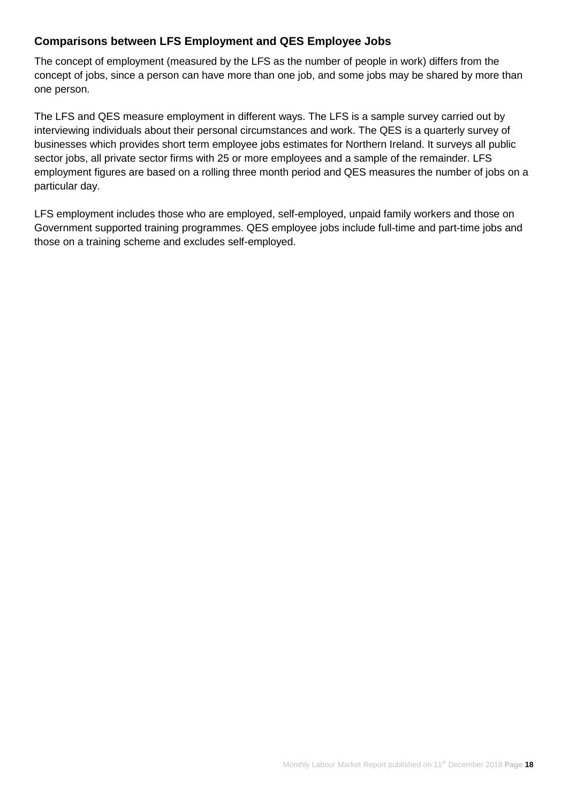# **Comparisons between LFS Employment and QES Employee Jobs**

The concept of employment (measured by the LFS as the number of people in work) differs from the concept of jobs, since a person can have more than one job, and some jobs may be shared by more than one person.

The LFS and QES measure employment in different ways. The LFS is a sample survey carried out by interviewing individuals about their personal circumstances and work. The QES is a quarterly survey of businesses which provides short term employee jobs estimates for Northern Ireland. It surveys all public sector jobs, all private sector firms with 25 or more employees and a sample of the remainder. LFS employment figures are based on a rolling three month period and QES measures the number of jobs on a particular day.

LFS employment includes those who are employed, self-employed, unpaid family workers and those on Government supported training programmes. QES employee jobs include full-time and part-time jobs and those on a training scheme and excludes self-employed.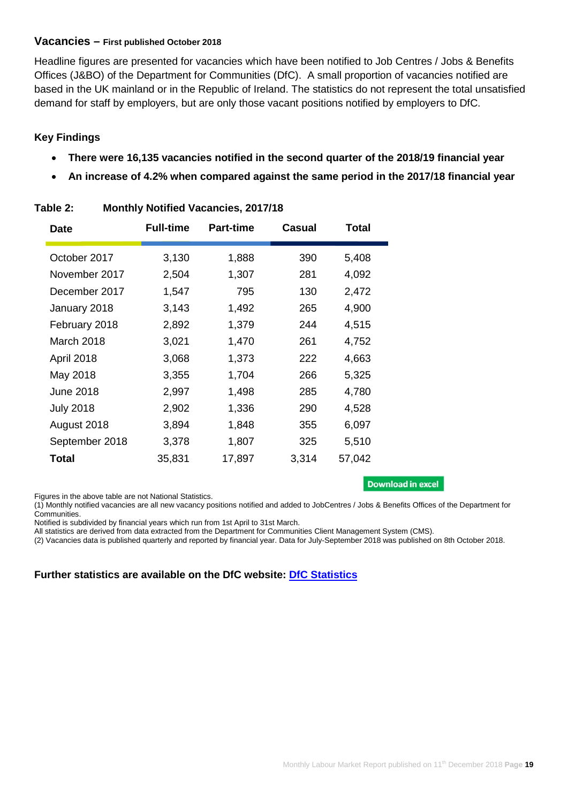#### **Vacancies – First published October 2018**

Headline figures are presented for vacancies which have been notified to Job Centres / Jobs & Benefits Offices (J&BO) of the Department for Communities (DfC). A small proportion of vacancies notified are based in the UK mainland or in the Republic of Ireland. The statistics do not represent the total unsatisfied demand for staff by employers, but are only those vacant positions notified by employers to DfC.

# **Key Findings**

- **There were 16,135 vacancies notified in the second quarter of the 2018/19 financial year**
- **An increase of 4.2% when compared against the same period in the 2017/18 financial year**

| <b>Date</b>      | <b>Full-time</b> | <b>Part-time</b> | <b>Casual</b> | <b>Total</b> |
|------------------|------------------|------------------|---------------|--------------|
| October 2017     | 3,130            | 1,888            | 390           | 5,408        |
| November 2017    | 2,504            | 1,307            | 281           | 4,092        |
| December 2017    | 1,547            | 795              | 130           | 2,472        |
| January 2018     | 3,143            | 1,492            | 265           | 4,900        |
| February 2018    | 2,892            | 1,379            | 244           | 4,515        |
| March 2018       | 3,021            | 1,470            | 261           | 4,752        |
| April 2018       | 3,068            | 1,373            | 222           | 4,663        |
| May 2018         | 3,355            | 1,704            | 266           | 5,325        |
| <b>June 2018</b> | 2,997            | 1,498            | 285           | 4,780        |
| <b>July 2018</b> | 2,902            | 1,336            | 290           | 4,528        |
| August 2018      | 3,894            | 1,848            | 355           | 6,097        |
| September 2018   | 3,378            | 1,807            | 325           | 5,510        |
| <b>Total</b>     | 35,831           | 17,897           | 3,314         | 57,042       |

# **Table 2: Monthly Notified Vacancies, 2017/18**

Figures in the above table are not National Statistics.

#### **Download in excel**

(1) Monthly notified vacancies are all new vacancy positions notified and added to JobCentres / Jobs & Benefits Offices of the Department for Communities.

Notified is subdivided by financial years which run from 1st April to 31st March.

All statistics are derived from data extracted from the Department for Communities Client Management System (CMS).

(2) Vacancies data is published quarterly and reported by financial year. Data for July-September 2018 was published on 8th October 2018.

#### **Further statistics are available on the DfC website: [DfC Statistics](https://www.communities-ni.gov.uk/topics/dfc-statistics-and-research)**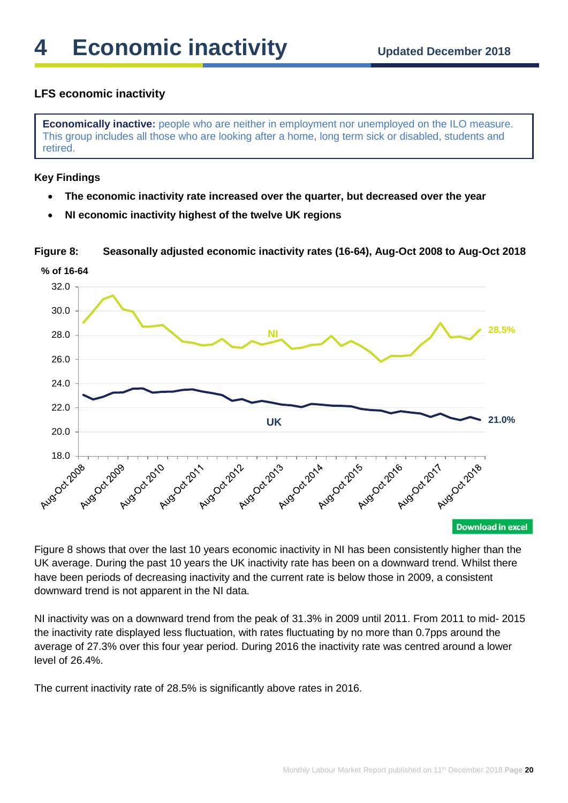# **LFS economic inactivity**

**Economically inactive:** people who are neither in employment nor unemployed on the ILO measure. This group includes all those who are looking after a home, long term sick or disabled, students and retired.

#### **Key Findings**

- **The economic inactivity rate increased over the quarter, but decreased over the year**
- **NI economic inactivity highest of the twelve UK regions**

**Figure 8: Seasonally adjusted economic inactivity rates (16-64), Aug-Oct 2008 to Aug-Oct 2018**



Figure 8 shows that over the last 10 years economic inactivity in NI has been consistently higher than the UK average. During the past 10 years the UK inactivity rate has been on a downward trend. Whilst there have been periods of decreasing inactivity and the current rate is below those in 2009, a consistent downward trend is not apparent in the NI data.

NI inactivity was on a downward trend from the peak of 31.3% in 2009 until 2011. From 2011 to mid- 2015 the inactivity rate displayed less fluctuation, with rates fluctuating by no more than 0.7pps around the average of 27.3% over this four year period. During 2016 the inactivity rate was centred around a lower level of 26.4%.

The current inactivity rate of 28.5% is significantly above rates in 2016.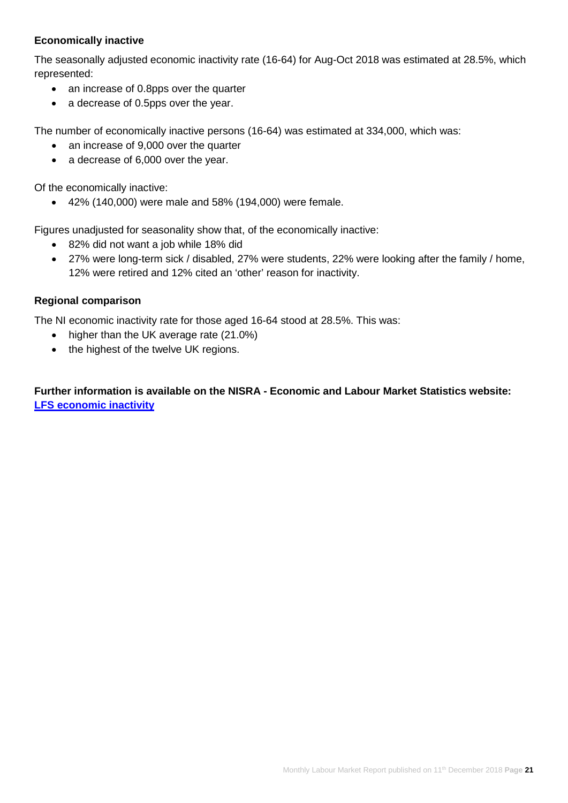# **Economically inactive**

The seasonally adjusted economic inactivity rate (16-64) for Aug-Oct 2018 was estimated at 28.5%, which represented:

- an increase of 0.8pps over the quarter
- a decrease of 0.5pps over the year.

The number of economically inactive persons (16-64) was estimated at 334,000, which was:

- an increase of 9,000 over the quarter
- a decrease of 6,000 over the year.

Of the economically inactive:

• 42% (140,000) were male and 58% (194,000) were female.

Figures unadjusted for seasonality show that, of the economically inactive:

- 82% did not want a job while 18% did
- 27% were long-term sick / disabled, 27% were students, 22% were looking after the family / home, 12% were retired and 12% cited an 'other' reason for inactivity.

#### **Regional comparison**

The NI economic inactivity rate for those aged 16-64 stood at 28.5%. This was:

- higher than the UK average rate (21.0%)
- the highest of the twelve UK regions.

**Further information is available on the NISRA - Economic and Labour Market Statistics website: [LFS economic inactivity](https://www.nisra.gov.uk/statistics/labour-market-and-social-welfare/labour-force-survey)**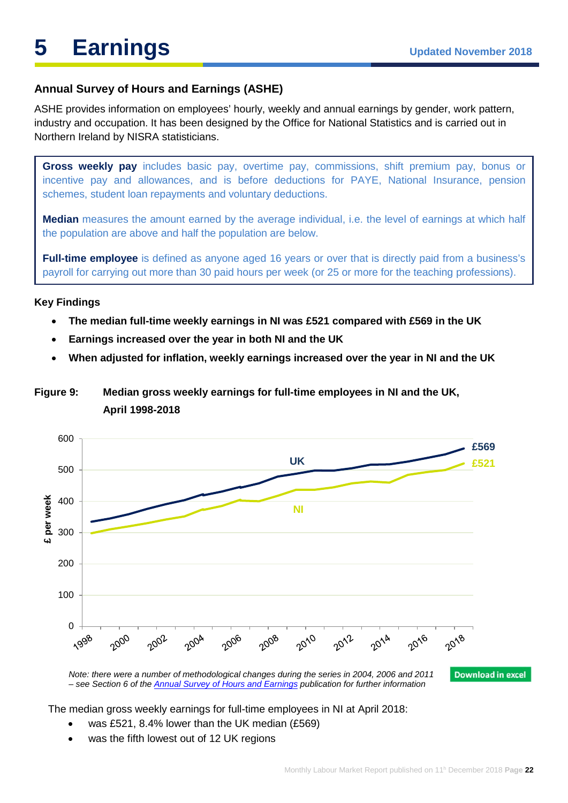# **Annual Survey of Hours and Earnings (ASHE)**

ASHE provides information on employees' hourly, weekly and annual earnings by gender, work pattern, industry and occupation. It has been designed by the Office for National Statistics and is carried out in Northern Ireland by NISRA statisticians.

**Gross weekly pay** includes basic pay, overtime pay, commissions, shift premium pay, bonus or incentive pay and allowances, and is before deductions for PAYE, National Insurance, pension schemes, student loan repayments and voluntary deductions.

**Median** measures the amount earned by the average individual, i.e. the level of earnings at which half the population are above and half the population are below.

**Full-time employee** is defined as anyone aged 16 years or over that is directly paid from a business's payroll for carrying out more than 30 paid hours per week (or 25 or more for the teaching professions).

#### **Key Findings**

- **The median full-time weekly earnings in NI was £521 compared with £569 in the UK**
- **Earnings increased over the year in both NI and the UK**
- **When adjusted for inflation, weekly earnings increased over the year in NI and the UK**

# **Figure 9: Median gross weekly earnings for full-time employees in NI and the UK, April 1998-2018**



The median gross weekly earnings for full-time employees in NI at April 2018:

- was £521, 8.4% lower than the UK median (£569)
- was the fifth lowest out of 12 UK regions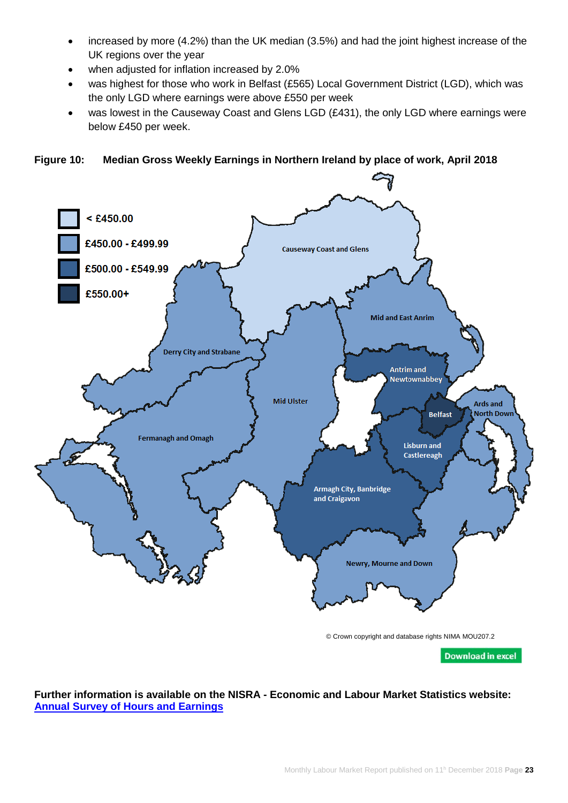- increased by more (4.2%) than the UK median (3.5%) and had the joint highest increase of the UK regions over the year
- when adjusted for inflation increased by 2.0%
- was highest for those who work in Belfast (£565) Local Government District (LGD), which was the only LGD where earnings were above £550 per week
- was lowest in the Causeway Coast and Glens LGD (£431), the only LGD where earnings were below £450 per week.

**Figure 10: Median Gross Weekly Earnings in Northern Ireland by place of work, April 2018**



**Further information is available on the NISRA - Economic and Labour Market Statistics website: [Annual Survey of Hours and Earnings](https://www.nisra.gov.uk/statistics/labour-market-and-social-welfare/annual-survey-hours-and-earnings)**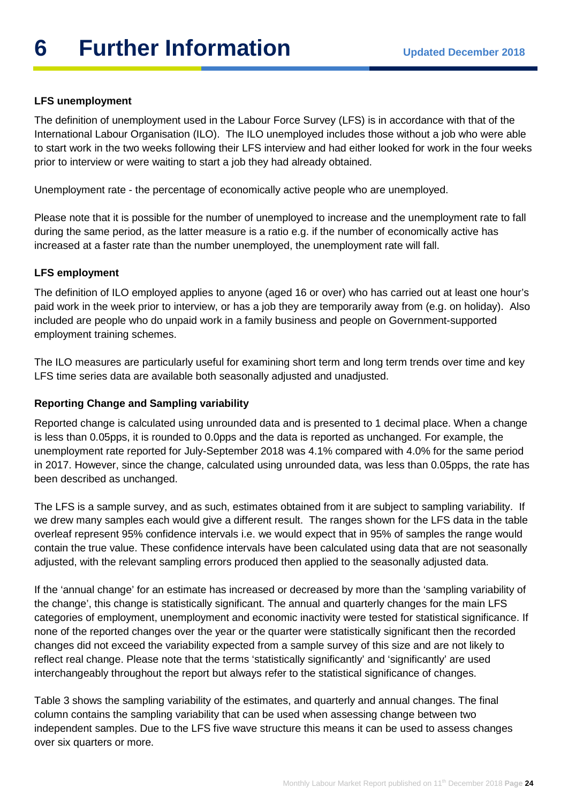# **LFS unemployment**

The definition of unemployment used in the Labour Force Survey (LFS) is in accordance with that of the International Labour Organisation (ILO). The ILO unemployed includes those without a job who were able to start work in the two weeks following their LFS interview and had either looked for work in the four weeks prior to interview or were waiting to start a job they had already obtained.

Unemployment rate - the percentage of economically active people who are unemployed.

Please note that it is possible for the number of unemployed to increase and the unemployment rate to fall during the same period, as the latter measure is a ratio e.g. if the number of economically active has increased at a faster rate than the number unemployed, the unemployment rate will fall.

# **LFS employment**

The definition of ILO employed applies to anyone (aged 16 or over) who has carried out at least one hour's paid work in the week prior to interview, or has a job they are temporarily away from (e.g. on holiday). Also included are people who do unpaid work in a family business and people on Government-supported employment training schemes.

The ILO measures are particularly useful for examining short term and long term trends over time and key LFS time series data are available both seasonally adjusted and unadjusted.

# **Reporting Change and Sampling variability**

Reported change is calculated using unrounded data and is presented to 1 decimal place. When a change is less than 0.05pps, it is rounded to 0.0pps and the data is reported as unchanged. For example, the unemployment rate reported for July-September 2018 was 4.1% compared with 4.0% for the same period in 2017. However, since the change, calculated using unrounded data, was less than 0.05pps, the rate has been described as unchanged.

The LFS is a sample survey, and as such, estimates obtained from it are subject to sampling variability. If we drew many samples each would give a different result. The ranges shown for the LFS data in the table overleaf represent 95% confidence intervals i.e. we would expect that in 95% of samples the range would contain the true value. These confidence intervals have been calculated using data that are not seasonally adjusted, with the relevant sampling errors produced then applied to the seasonally adjusted data.

If the 'annual change' for an estimate has increased or decreased by more than the 'sampling variability of the change', this change is statistically significant. The annual and quarterly changes for the main LFS categories of employment, unemployment and economic inactivity were tested for statistical significance. If none of the reported changes over the year or the quarter were statistically significant then the recorded changes did not exceed the variability expected from a sample survey of this size and are not likely to reflect real change. Please note that the terms 'statistically significantly' and 'significantly' are used interchangeably throughout the report but always refer to the statistical significance of changes.

Table 3 shows the sampling variability of the estimates, and quarterly and annual changes. The final column contains the sampling variability that can be used when assessing change between two independent samples. Due to the LFS five wave structure this means it can be used to assess changes over six quarters or more.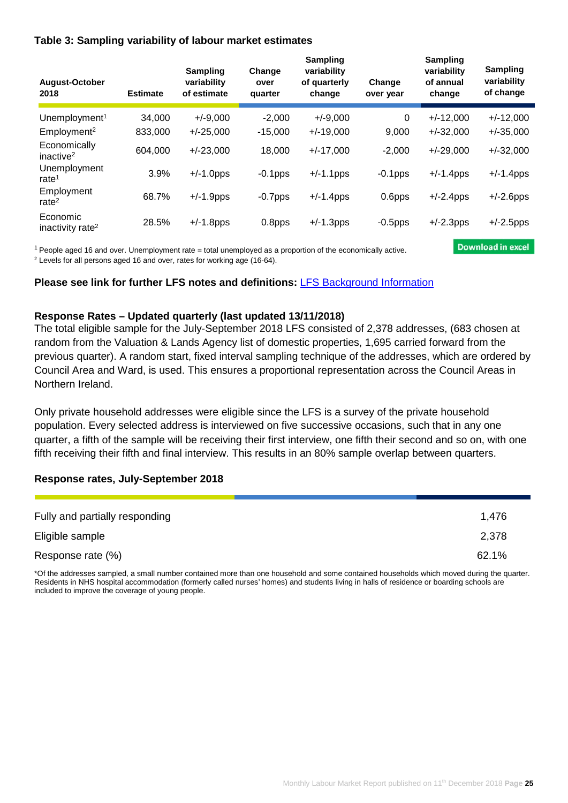#### **Table 3: Sampling variability of labour market estimates**

| August-October<br>2018                   | <b>Estimate</b> | <b>Sampling</b><br>variability<br>of estimate | Change<br>over<br>quarter | <b>Sampling</b><br>variability<br>of quarterly<br>change | Change<br>over year | <b>Sampling</b><br>variability<br>of annual<br>change | Sampling<br>variability<br>of change |
|------------------------------------------|-----------------|-----------------------------------------------|---------------------------|----------------------------------------------------------|---------------------|-------------------------------------------------------|--------------------------------------|
| Unemployment <sup>1</sup>                | 34.000          | $+/-9.000$                                    | $-2.000$                  | $+/-9,000$                                               | 0                   | $+/-12,000$                                           | $+/-12,000$                          |
| Employment <sup>2</sup>                  | 833,000         | $+/-25,000$                                   | $-15,000$                 | $+/-19,000$                                              | 9.000               | $+/-32,000$                                           | $+/-35,000$                          |
| Economically<br>inactive <sup>2</sup>    | 604,000         | $+/-23,000$                                   | 18,000                    | $+/-17,000$                                              | $-2,000$            | $+/-29,000$                                           | $+/-32,000$                          |
| Unemployment<br>rate $1$                 | 3.9%            | $+/-1.0$ pps                                  | $-0.1$ pps                | $+/-1.1$ pps                                             | $-0.1$ pps          | $+/-1.4$ pps                                          | $+/-1.4$ pps                         |
| Employment<br>rate $2$                   | 68.7%           | $+/-1.9$ pps                                  | $-0.7$ pps                | $+/-1.4$ pps                                             | 0.6pps              | $+/-2.4$ pps                                          | $+/-2.6$ pps                         |
| Economic<br>inactivity rate <sup>2</sup> | 28.5%           | $+/-1.8$ pps                                  | 0.8pps                    | $+/-1.3$ pps                                             | $-0.5$ pps          | $+/-2.3$ pps                                          | $+/-2.5$ pps                         |

 $1$  People aged 16 and over. Unemployment rate = total unemployed as a proportion of the economically active.

<sup>2</sup> Levels for all persons aged 16 and over, rates for working age (16-64).

#### **Please see link for further LFS notes and definitions:** [LFS Background Information](https://www.nisra.gov.uk/publications/labour-force-survey-background-information)

#### **Response Rates – Updated quarterly (last updated 13/11/2018)**

The total eligible sample for the July-September 2018 LFS consisted of 2,378 addresses, (683 chosen at random from the Valuation & Lands Agency list of domestic properties, 1,695 carried forward from the previous quarter). A random start, fixed interval sampling technique of the addresses, which are ordered by Council Area and Ward, is used. This ensures a proportional representation across the Council Areas in Northern Ireland.

Only private household addresses were eligible since the LFS is a survey of the private household population. Every selected address is interviewed on five successive occasions, such that in any one quarter, a fifth of the sample will be receiving their first interview, one fifth their second and so on, with one fifth receiving their fifth and final interview. This results in an 80% sample overlap between quarters.

#### **Response rates, July-September 2018**

| Fully and partially responding | 1,476 |
|--------------------------------|-------|
| Eligible sample                | 2,378 |
| Response rate (%)              | 62.1% |

\*Of the addresses sampled, a small number contained more than one household and some contained households which moved during the quarter. Residents in NHS hospital accommodation (formerly called nurses' homes) and students living in halls of residence or boarding schools are included to improve the coverage of young people.

**Download in excel**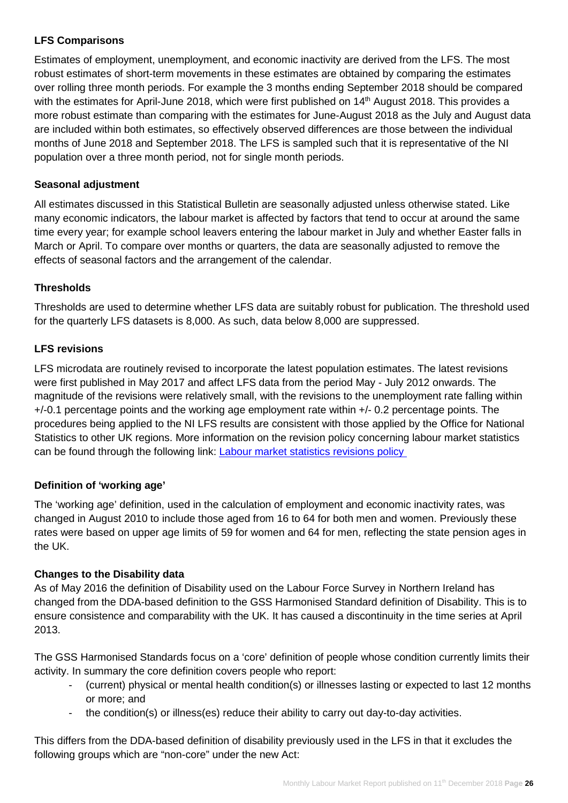# **LFS Comparisons**

Estimates of employment, unemployment, and economic inactivity are derived from the LFS. The most robust estimates of short-term movements in these estimates are obtained by comparing the estimates over rolling three month periods. For example the 3 months ending September 2018 should be compared with the estimates for April-June 2018, which were first published on 14<sup>th</sup> August 2018. This provides a more robust estimate than comparing with the estimates for June-August 2018 as the July and August data are included within both estimates, so effectively observed differences are those between the individual months of June 2018 and September 2018. The LFS is sampled such that it is representative of the NI population over a three month period, not for single month periods.

# **Seasonal adjustment**

All estimates discussed in this Statistical Bulletin are seasonally adjusted unless otherwise stated. Like many economic indicators, the labour market is affected by factors that tend to occur at around the same time every year; for example school leavers entering the labour market in July and whether Easter falls in March or April. To compare over months or quarters, the data are seasonally adjusted to remove the effects of seasonal factors and the arrangement of the calendar.

# **Thresholds**

Thresholds are used to determine whether LFS data are suitably robust for publication. The threshold used for the quarterly LFS datasets is 8,000. As such, data below 8,000 are suppressed.

# **LFS revisions**

LFS microdata are routinely revised to incorporate the latest population estimates. The latest revisions were first published in May 2017 and affect LFS data from the period May - July 2012 onwards. The magnitude of the revisions were relatively small, with the revisions to the unemployment rate falling within +/-0.1 percentage points and the working age employment rate within +/- 0.2 percentage points. The procedures being applied to the NI LFS results are consistent with those applied by the Office for National Statistics to other UK regions. More information on the revision policy concerning labour market statistics can be found through the following link: [Labour market statistics revisions policy](https://www.ons.gov.uk/methodology/methodologytopicsandstatisticalconcepts/revisions/revisionspoliciesforlabourmarketstatistics) 

# **Definition of 'working age'**

The 'working age' definition, used in the calculation of employment and economic inactivity rates, was changed in August 2010 to include those aged from 16 to 64 for both men and women. Previously these rates were based on upper age limits of 59 for women and 64 for men, reflecting the state pension ages in the UK.

# **Changes to the Disability data**

As of May 2016 the definition of Disability used on the Labour Force Survey in Northern Ireland has changed from the DDA-based definition to the GSS Harmonised Standard definition of Disability. This is to ensure consistence and comparability with the UK. It has caused a discontinuity in the time series at April 2013.

The GSS Harmonised Standards focus on a 'core' definition of people whose condition currently limits their activity. In summary the core definition covers people who report:

- (current) physical or mental health condition(s) or illnesses lasting or expected to last 12 months or more; and
- the condition(s) or illness(es) reduce their ability to carry out day-to-day activities.

This differs from the DDA-based definition of disability previously used in the LFS in that it excludes the following groups which are "non-core" under the new Act: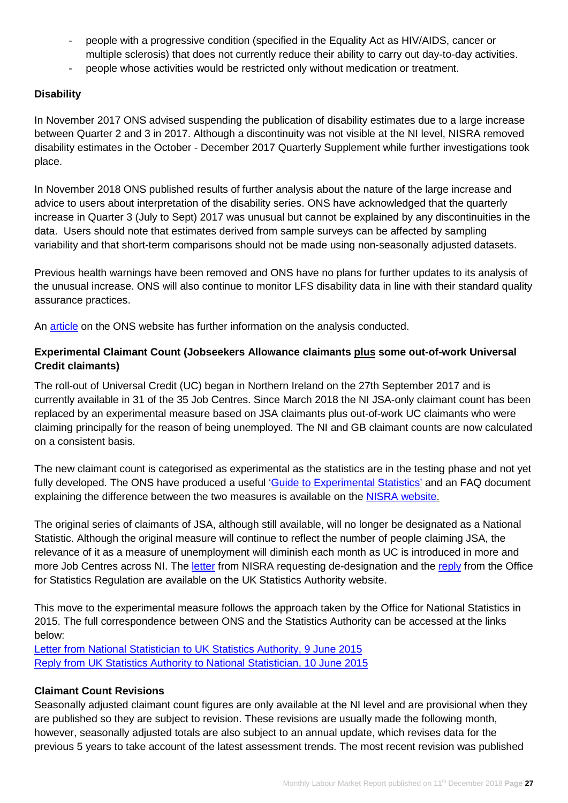- people with a progressive condition (specified in the Equality Act as HIV/AIDS, cancer or multiple sclerosis) that does not currently reduce their ability to carry out day-to-day activities.
- people whose activities would be restricted only without medication or treatment.

# **Disability**

In November 2017 ONS advised suspending the publication of disability estimates due to a large increase between Quarter 2 and 3 in 2017. Although a discontinuity was not visible at the NI level, NISRA removed disability estimates in the October - December 2017 Quarterly Supplement while further investigations took place.

In November 2018 ONS published results of further analysis about the nature of the large increase and advice to users about interpretation of the disability series. ONS have acknowledged that the quarterly increase in Quarter 3 (July to Sept) 2017 was unusual but cannot be explained by any discontinuities in the data. Users should note that estimates derived from sample surveys can be affected by sampling variability and that short-term comparisons should not be made using non-seasonally adjusted datasets.

Previous health warnings have been removed and ONS have no plans for further updates to its analysis of the unusual increase. ONS will also continue to monitor LFS disability data in line with their standard quality assurance practices.

An [article](https://www.ons.gov.uk/employmentandlabourmarket/peopleinwork/employmentandemployeetypes/methodologies/analysisofthelargeincreaseinthelabourforcesurveydisabilitydataapriltojune2017tojulytoseptember2017andtheperiodsafterthisincrease) on the ONS website has further information on the analysis conducted.

## **Experimental Claimant Count (Jobseekers Allowance claimants plus some out-of-work Universal Credit claimants)**

The roll-out of Universal Credit (UC) began in Northern Ireland on the 27th September 2017 and is currently available in 31 of the 35 Job Centres. Since March 2018 the NI JSA-only claimant count has been replaced by an experimental measure based on JSA claimants plus out-of-work UC claimants who were claiming principally for the reason of being unemployed. The NI and GB claimant counts are now calculated on a consistent basis.

The new claimant count is categorised as experimental as the statistics are in the testing phase and not yet fully developed. The ONS have produced a useful ['Guide to Experimental Statistics'](https://www.ons.gov.uk/methodology/methodologytopicsandstatisticalconcepts/guidetoexperimentalstatistics) and an FAQ document explaining the difference between the two measures is available on the [NISRA website.](https://www.nisra.gov.uk/news/changes-claimant-count)

The original series of claimants of JSA, although still available, will no longer be designated as a National Statistic. Although the original measure will continue to reflect the number of people claiming JSA, the relevance of it as a measure of unemployment will diminish each month as UC is introduced in more and more Job Centres across NI. The [letter](https://www.statisticsauthority.gov.uk/wp-content/uploads/2018/03/SB-to-EH-Northern-Ireland-Claimant-Count.pdf) from NISRA requesting de-designation and the [reply](https://www.statisticsauthority.gov.uk/wp-content/uploads/2018/03/EH-to-SB-Northern-Ireland-Claimant-Count.pdf) from the Office for Statistics Regulation are available on the UK Statistics Authority website.

This move to the experimental measure follows the approach taken by the Office for National Statistics in 2015. The full correspondence between ONS and the Statistics Authority can be accessed at the links below:

[Letter from National Statistician to UK Statistics Authority, 9 June 2015](http://www.statisticsauthority.gov.uk/reports---correspondence/correspondence/letter-from-john-pullinger-to-ed-humpherson-090615.pdf) [Reply from UK Statistics Authority to National Statistician, 10 June 2015](http://www.statisticsauthority.gov.uk/reports---correspondence/correspondence/letter-from-ed-humpherson-to-john-pullinger-100615.pdf)

# **Claimant Count Revisions**

Seasonally adjusted claimant count figures are only available at the NI level and are provisional when they are published so they are subject to revision. These revisions are usually made the following month, however, seasonally adjusted totals are also subject to an annual update, which revises data for the previous 5 years to take account of the latest assessment trends. The most recent revision was published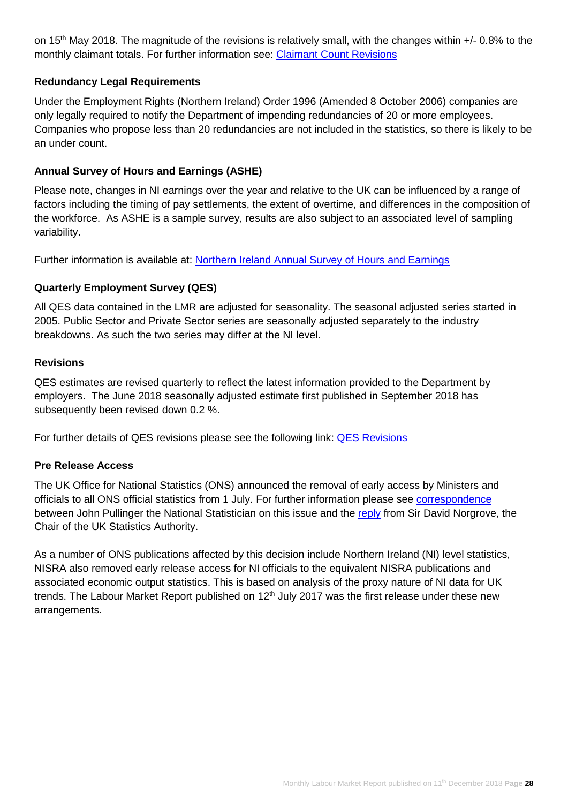on 15<sup>th</sup> May 2018. The magnitude of the revisions is relatively small, with the changes within +/- 0.8% to the monthly claimant totals. For further information see: [Claimant Count Revisions](https://www.nisra.gov.uk/system/files/statistics/claimant-count-revisions-november-2018.xlsx)

# **Redundancy Legal Requirements**

Under the Employment Rights (Northern Ireland) Order 1996 (Amended 8 October 2006) companies are only legally required to notify the Department of impending redundancies of 20 or more employees. Companies who propose less than 20 redundancies are not included in the statistics, so there is likely to be an under count.

# **Annual Survey of Hours and Earnings (ASHE)**

Please note, changes in NI earnings over the year and relative to the UK can be influenced by a range of factors including the timing of pay settlements, the extent of overtime, and differences in the composition of the workforce. As ASHE is a sample survey, results are also subject to an associated level of sampling variability.

Further information is available at: [Northern Ireland Annual Survey of Hours and Earnings](https://www.nisra.gov.uk/statistics/labour-market-and-social-welfare/annual-survey-hours-and-earnings)

#### **Quarterly Employment Survey (QES)**

All QES data contained in the LMR are adjusted for seasonality. The seasonal adjusted series started in 2005. Public Sector and Private Sector series are seasonally adjusted separately to the industry breakdowns. As such the two series may differ at the NI level.

#### **Revisions**

QES estimates are revised quarterly to reflect the latest information provided to the Department by employers. The June 2018 seasonally adjusted estimate first published in September 2018 has subsequently been revised down 0.2 %.

For further details of QES revisions please see the following link: [QES Revisions](https://www.nisra.gov.uk/publications/quarterly-employment-survey-revisions)

#### **Pre Release Access**

The UK Office for National Statistics (ONS) announced the removal of early access by Ministers and officials to all ONS official statistics from 1 July. For further information please see **correspondence** between John Pullinger the National Statistician on this issue and the [reply](https://www.statisticsauthority.gov.uk/wp-content/uploads/2017/08/Letter-from-Sir-David-Norgrove-to-John-Pullinger-15-June-2017.pdf) from Sir David Norgrove, the Chair of the UK Statistics Authority.

As a number of ONS publications affected by this decision include Northern Ireland (NI) level statistics, NISRA also removed early release access for NI officials to the equivalent NISRA publications and associated economic output statistics. This is based on analysis of the proxy nature of NI data for UK trends. The Labour Market Report published on  $12<sup>th</sup>$  July 2017 was the first release under these new arrangements.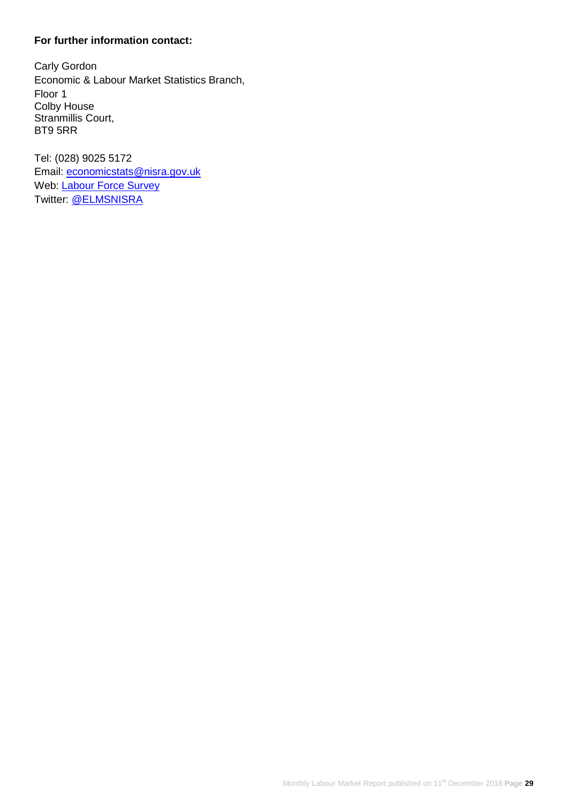# **For further information contact:**

Carly Gordon Economic & Labour Market Statistics Branch, Floor 1 Colby House Stranmillis Court, BT9 5RR

Tel: (028) 9025 5172 Email: [economicstats@nisra.gov.uk](mailto:economicstats@nisra.gov.uk) Web: [Labour Force Survey](https://www.nisra.gov.uk/statistics/labour-market-and-social-welfare/labour-force-survey) Twitter: [@ELMSNISRA](https://twitter.com/ELMSNISRA)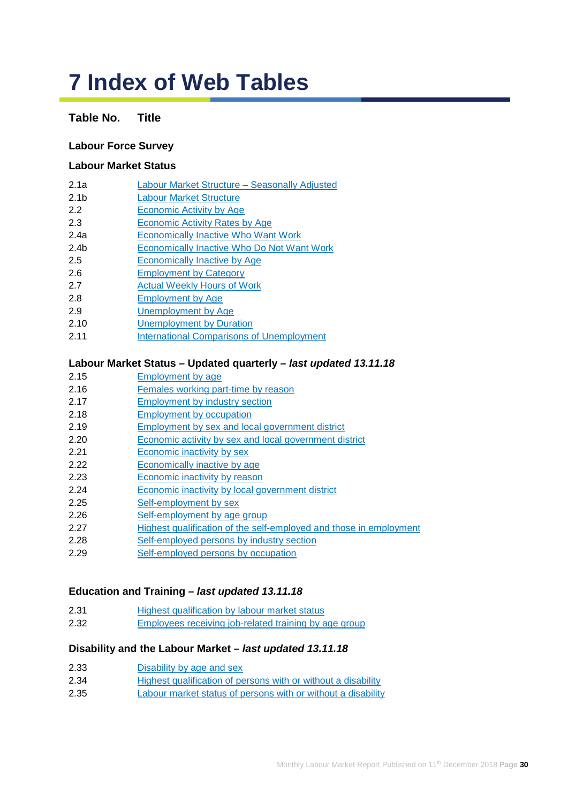# **7 Index of Web Tables**

## **Table No. Title**

#### **Labour Force Survey**

#### **Labour Market Status**

- 2.1a [Labour Market Structure –](https://www.nisra.gov.uk/publications/labour-force-survey-tables-december-2018) Seasonally Adjusted
- 2.1b [Labour Market Structure](https://www.nisra.gov.uk/publications/labour-force-survey-tables-december-2018)
- 2.2 [Economic Activity by Age](https://www.nisra.gov.uk/publications/labour-force-survey-tables-december-2018)
- 2.3 [Economic Activity Rates by Age](https://www.nisra.gov.uk/publications/labour-force-survey-tables-december-2018)
- 2.4a [Economically Inactive Who Want Work](https://www.nisra.gov.uk/publications/labour-force-survey-tables-december-2018)
- 2.4b [Economically Inactive Who Do Not Want Work](https://www.nisra.gov.uk/publications/labour-force-survey-tables-december-2018)
- 2.5 [Economically Inactive by Age](https://www.nisra.gov.uk/publications/labour-force-survey-tables-december-2018)
- 2.6 [Employment by Category](https://www.nisra.gov.uk/publications/labour-force-survey-tables-december-2018)
- 2.7 [Actual Weekly Hours of Work](https://www.nisra.gov.uk/publications/labour-force-survey-tables-december-2018)
- 2.8 [Employment by Age](https://www.nisra.gov.uk/publications/labour-force-survey-tables-december-2018)
- 2.9 [Unemployment by Age](https://www.nisra.gov.uk/publications/labour-force-survey-tables-december-2018)
- 2.10 [Unemployment by Duration](https://www.nisra.gov.uk/publications/labour-force-survey-tables-december-2018)
- 2.11 International [Comparisons of Unemployment](https://www.nisra.gov.uk/publications/labour-force-survey-tables-december-2018)

#### **Labour Market Status – Updated quarterly –** *last updated 13.11.18*

- 2.15 [Employment by age](https://www.nisra.gov.uk/publications/quarterly-labour-force-survey-tables-november-2018)
- 2.16 [Females working part-time by reason](https://www.nisra.gov.uk/publications/quarterly-labour-force-survey-tables-november-2018)
- 2.17 [Employment by industry section](https://www.nisra.gov.uk/publications/quarterly-labour-force-survey-tables-november-2018)
- 2.18 [Employment by occupation](https://www.nisra.gov.uk/publications/quarterly-labour-force-survey-tables-november-2018)
- 2.19 [Employment by sex and local government district](https://www.nisra.gov.uk/publications/quarterly-labour-force-survey-tables-november-2018)
- 2.20 [Economic activity by sex and local government district](https://www.nisra.gov.uk/publications/quarterly-labour-force-survey-tables-november-2018)
- 2.21 [Economic inactivity by sex](https://www.nisra.gov.uk/publications/quarterly-labour-force-survey-tables-november-2018)
- 2.22 [Economically inactive](https://www.nisra.gov.uk/publications/quarterly-labour-force-survey-tables-november-2018) by age
- 2.23 [Economic inactivity](https://www.nisra.gov.uk/publications/quarterly-labour-force-survey-tables-november-2018) by reason
- 2.24 [Economic inactivity by local government district](https://www.nisra.gov.uk/publications/quarterly-labour-force-survey-tables-november-2018)
- 2.25 [Self-employment by sex](https://www.nisra.gov.uk/publications/quarterly-labour-force-survey-tables-november-2018)
- 2.26 [Self-employment by age group](https://www.nisra.gov.uk/publications/quarterly-labour-force-survey-tables-november-2018)
- 2.27 [Highest qualification of the self-employed and those in employment](https://www.nisra.gov.uk/publications/quarterly-labour-force-survey-tables-november-2018)
- 2.28 [Self-employed persons by industry section](https://www.nisra.gov.uk/publications/quarterly-labour-force-survey-tables-november-2018)
- 2.29 [Self-employed persons by occupation](https://www.nisra.gov.uk/publications/quarterly-labour-force-survey-tables-november-2018)

#### **Education and Training –** *last updated 13.11.18*

- 2.31 [Highest qualification by labour market status](https://www.nisra.gov.uk/publications/quarterly-labour-force-survey-tables-november-2018)
- 2.32 [Employees receiving job-related training by age group](https://www.nisra.gov.uk/publications/quarterly-labour-force-survey-tables-november-2018)

#### **Disability and the Labour Market –** *last updated 13.11.18*

- 2.33 [Disability by age and sex](https://www.nisra.gov.uk/publications/quarterly-labour-force-survey-tables-november-2018)
- 2.34 [Highest qualification of persons with or without a disability](https://www.nisra.gov.uk/publications/quarterly-labour-force-survey-tables-november-2018)
- 2.35 [Labour market status of persons with or without a disability](https://www.nisra.gov.uk/publications/quarterly-labour-force-survey-tables-november-2018)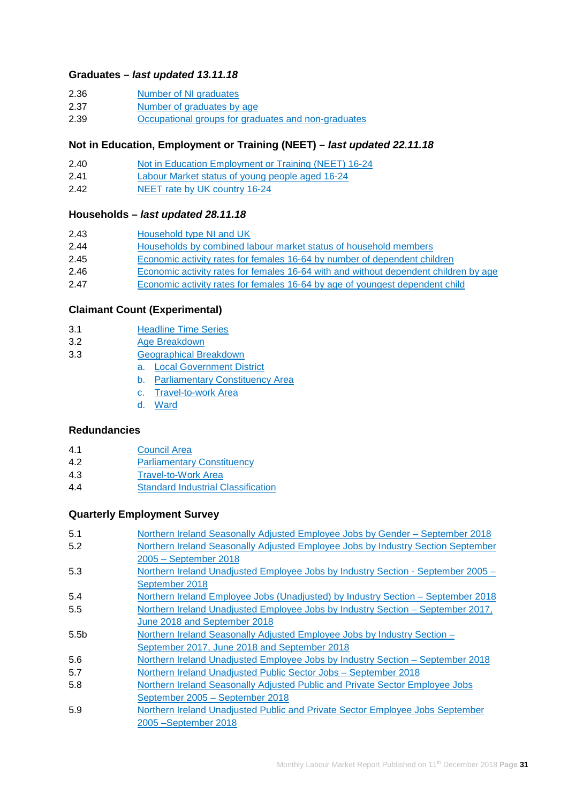#### **Graduates –** *last updated 13.11.18*

| 2.36 |  | Number of NI graduates |
|------|--|------------------------|
|      |  |                        |

- 2.37 [Number of graduates by age](https://www.nisra.gov.uk/publications/quarterly-labour-force-survey-tables-november-2018)
- 2.39 [Occupational groups for graduates and non-graduates](https://www.nisra.gov.uk/publications/quarterly-labour-force-survey-tables-november-2018)

#### **Not in Education, Employment or Training (NEET) –** *last updated 22.11.18*

- 2.40 [Not in Education Employment or Training \(NEET\) 16-24](https://www.nisra.gov.uk/publications/quarterly-labour-force-survey-tables-november-2018)
- 2.41 [Labour Market status of young people aged 16-24](https://www.nisra.gov.uk/publications/quarterly-labour-force-survey-tables-november-2018)
- 2.42 [NEET rate by UK country](https://www.nisra.gov.uk/publications/quarterly-labour-force-survey-tables-november-2018) 16-24

#### **Households –** *last updated 28.11.18*

| 2.43 | Household type NI and UK                                                             |
|------|--------------------------------------------------------------------------------------|
| 2.44 | Households by combined labour market status of household members                     |
| 2.45 | Economic activity rates for females 16-64 by number of dependent children            |
| 2.46 | Economic activity rates for females 16-64 with and without dependent children by age |
| 2.47 | Economic activity rates for females 16-64 by age of youngest dependent child         |

# **[Claimant Count \(Experimental\)](https://www.nisra.gov.uk/publications/claimant-count-tables)**

- 3.1 [Headline Time Series](https://www.nisra.gov.uk/publications/claimant-count-tables)
- 3.2 [Age Breakdown](https://www.nisra.gov.uk/publications/claimant-count-tables)
- 3.3 [Geographical Breakdown](https://www.nisra.gov.uk/publications/claimant-count-tables)
	- a. [Local Government District](https://www.nisra.gov.uk/publications/claimant-count-tables)
	- b. [Parliamentary Constituency Area](https://www.nisra.gov.uk/publications/claimant-count-tables)
	- c. [Travel-to-work Area](https://www.nisra.gov.uk/publications/claimant-count-tables)
	- d. [Ward](https://www.nisra.gov.uk/publications/claimant-count-tables)

#### **[Redundancies](https://www.nisra.gov.uk/publications/redundancy-tables)**

- 4.1 [Council Area](https://www.nisra.gov.uk/publications/redundancy-tables)
- 4.2 [Parliamentary Constituency](https://www.nisra.gov.uk/publications/redundancy-tables)
- 4.3 [Travel-to-Work Area](https://www.nisra.gov.uk/publications/redundancy-tables)
- 4.4 [Standard Industrial Classification](https://www.nisra.gov.uk/publications/redundancy-tables)

#### **Quarterly Employment Survey**

| 5.1              | Northern Ireland Seasonally Adjusted Employee Jobs by Gender - September 2018    |
|------------------|----------------------------------------------------------------------------------|
| 5.2              | Northern Ireland Seasonally Adjusted Employee Jobs by Industry Section September |
|                  | 2005 - September 2018                                                            |
| 5.3              | Northern Ireland Unadjusted Employee Jobs by Industry Section - September 2005 - |
|                  | September 2018                                                                   |
| 5.4              | Northern Ireland Employee Jobs (Unadjusted) by Industry Section – September 2018 |
| 5.5              | Northern Ireland Unadjusted Employee Jobs by Industry Section - September 2017,  |
|                  | June 2018 and September 2018                                                     |
| 5.5 <sub>b</sub> | Northern Ireland Seasonally Adjusted Employee Jobs by Industry Section -         |
|                  | September 2017, June 2018 and September 2018                                     |
| 5.6              | Northern Ireland Unadjusted Employee Jobs by Industry Section – September 2018   |
| 5.7              | Northern Ireland Unadjusted Public Sector Jobs - September 2018                  |
| 5.8              | Northern Ireland Seasonally Adjusted Public and Private Sector Employee Jobs     |
|                  | September 2005 - September 2018                                                  |
| 5.9              | Northern Ireland Unadjusted Public and Private Sector Employee Jobs September    |
|                  | 2005 - September 2018                                                            |